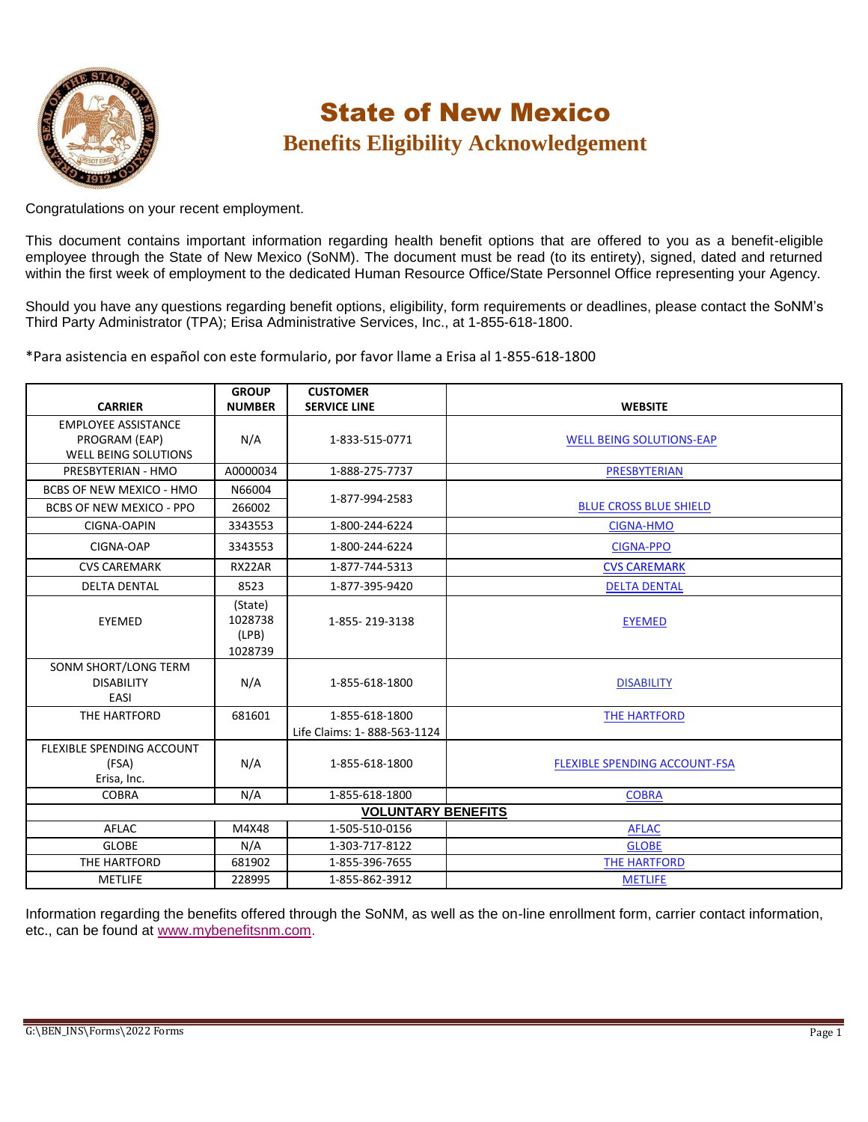

# State of New Mexico **Benefits Eligibility Acknowledgement**

Congratulations on your recent employment.

This document contains important information regarding health benefit options that are offered to you as a benefit-eligible employee through the State of New Mexico (SoNM). The document must be read (to its entirety), signed, dated and returned within the first week of employment to the dedicated Human Resource Office/State Personnel Office representing your Agency.

Should you have any questions regarding benefit options, eligibility, form requirements or deadlines, please contact the SoNM's Third Party Administrator (TPA); Erisa Administrative Services, Inc., at 1-855-618-1800.

\*Para asistencia en español con este formulario, por favor llame a Erisa al 1-855-618-1800

|                                                                            | <b>GROUP</b>                           | <b>CUSTOMER</b>                               |                                      |  |  |
|----------------------------------------------------------------------------|----------------------------------------|-----------------------------------------------|--------------------------------------|--|--|
| <b>CARRIER</b>                                                             | <b>NUMBER</b>                          | <b>SERVICE LINE</b>                           | <b>WEBSITE</b>                       |  |  |
| <b>EMPLOYEE ASSISTANCE</b><br>PROGRAM (EAP)<br><b>WELL BEING SOLUTIONS</b> | N/A                                    | 1-833-515-0771                                | <b>WELL BEING SOLUTIONS-EAP</b>      |  |  |
| PRESBYTERIAN - HMO                                                         | A0000034                               | 1-888-275-7737                                | PRESBYTERIAN                         |  |  |
| <b>BCBS OF NEW MEXICO - HMO</b>                                            | N66004                                 |                                               |                                      |  |  |
| BCBS OF NEW MEXICO - PPO                                                   | 266002                                 | 1-877-994-2583                                | <b>BLUE CROSS BLUE SHIELD</b>        |  |  |
| CIGNA-OAPIN                                                                | 3343553                                | 1-800-244-6224                                | <b>CIGNA-HMO</b>                     |  |  |
| CIGNA-OAP                                                                  | 3343553                                | 1-800-244-6224                                | <b>CIGNA-PPO</b>                     |  |  |
| <b>CVS CAREMARK</b>                                                        | RX22AR                                 | 1-877-744-5313                                | <b>CVS CAREMARK</b>                  |  |  |
| <b>DELTA DENTAL</b>                                                        | 8523                                   | 1-877-395-9420                                | <b>DELTA DENTAL</b>                  |  |  |
| EYEMED                                                                     | (State)<br>1028738<br>(LPB)<br>1028739 | 1-855-219-3138                                | <b>EYEMED</b>                        |  |  |
| SONM SHORT/LONG TERM<br><b>DISABILITY</b><br>EASI                          | N/A                                    | 1-855-618-1800                                | <b>DISABILITY</b>                    |  |  |
| THE HARTFORD                                                               | 681601                                 | 1-855-618-1800<br>Life Claims: 1-888-563-1124 | <b>THE HARTFORD</b>                  |  |  |
| FLEXIBLE SPENDING ACCOUNT<br>(FSA)<br>Erisa, Inc.                          | N/A                                    | 1-855-618-1800                                | <b>FLEXIBLE SPENDING ACCOUNT-FSA</b> |  |  |
| <b>COBRA</b>                                                               | N/A                                    | 1-855-618-1800                                | <b>COBRA</b>                         |  |  |
| <b>VOLUNTARY BENEFITS</b>                                                  |                                        |                                               |                                      |  |  |
| AFLAC                                                                      | M4X48                                  | 1-505-510-0156                                | <b>AFLAC</b>                         |  |  |
| <b>GLOBE</b>                                                               | N/A                                    | 1-303-717-8122                                | <b>GLOBE</b>                         |  |  |
| THE HARTFORD                                                               | 681902                                 | 1-855-396-7655                                | <b>THE HARTFORD</b>                  |  |  |
| <b>METLIFE</b>                                                             | 228995                                 | 1-855-862-3912                                | <b>METLIFE</b>                       |  |  |

Information regarding the benefits offered through the SoNM, as well as the on-line enrollment form, carrier contact information, etc., can be found at [www.mybenefitsnm.com.](http://www.mybenefitsnm.com/)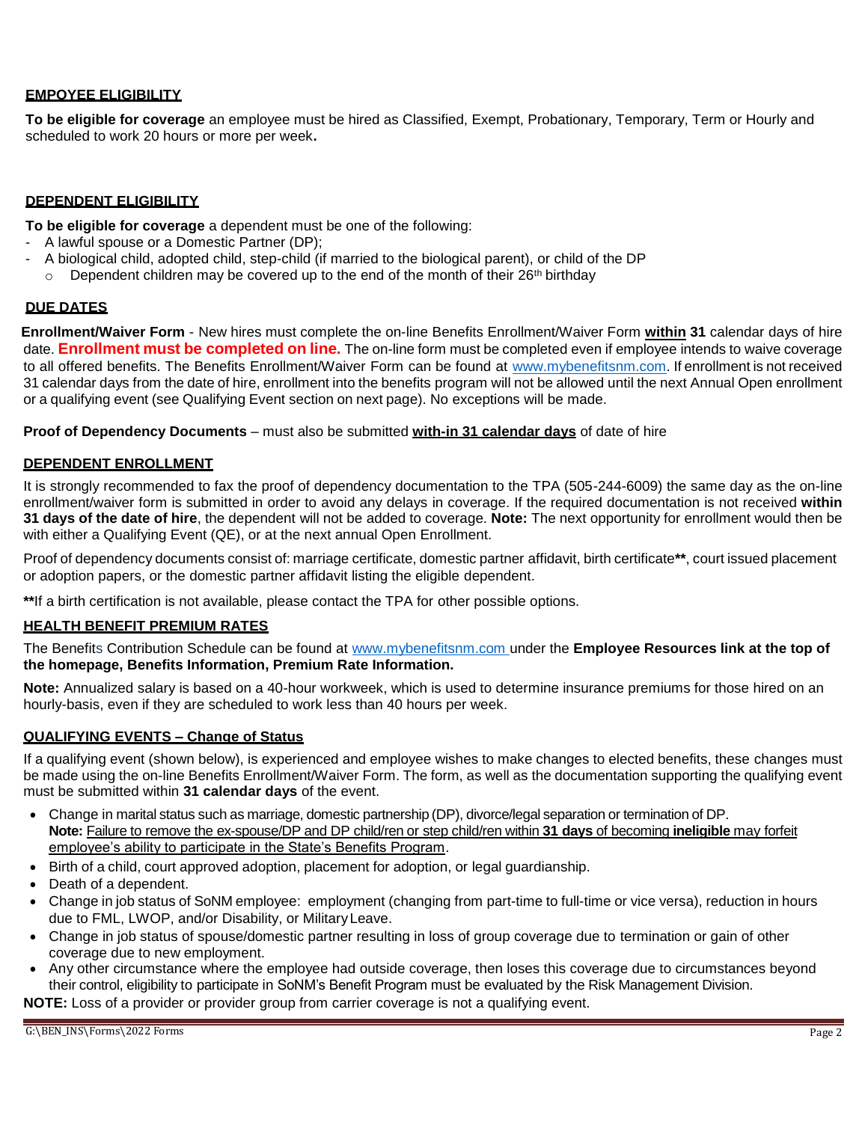# **EMPOYEE ELIGIBILITY**

**To be eligible for coverage** an employee must be hired as Classified, Exempt, Probationary, Temporary, Term or Hourly and scheduled to work 20 hours or more per week**.**

## **DEPENDENT ELIGIBILITY**

**To be eligible for coverage** a dependent must be one of the following:

- A lawful spouse or a Domestic Partner (DP);
- A biological child, adopted child, step-child (if married to the biological parent), or child of the DP
	- $\circ$  Dependent children may be covered up to the end of the month of their 26<sup>th</sup> birthday

### **DUE DATES**

**Enrollment/Waiver Form** - New hires must complete the on-line Benefits Enrollment/Waiver Form **within 31** calendar days of hire date. **Enrollment must be completed on line.** The on-line form must be completed even if employee intends to waive coverage to all offered benefits. The Benefits Enrollment/Waiver Form can be found at [www.mybenefitsnm.com.](http://www.mybenefitsnm.com/) If enrollment is not received 31 calendar days from the date of hire, enrollment into the benefits program will not be allowed until the next Annual Open enrollment or a qualifying event (see Qualifying Event section on next page). No exceptions will be made.

**Proof of Dependency Documents** – must also be submitted **with-in 31 calendar days** of date of hire

# **DEPENDENT ENROLLMENT**

It is strongly recommended to fax the proof of dependency documentation to the TPA (505-244-6009) the same day as the on-line enrollment/waiver form is submitted in order to avoid any delays in coverage. If the required documentation is not received **within 31 days of the date of hire**, the dependent will not be added to coverage. **Note:** The next opportunity for enrollment would then be with either a Qualifying Event (QE), or at the next annual Open Enrollment.

Proof of dependency documents consist of: marriage certificate, domestic partner affidavit, birth certificate**\*\***, court issued placement or adoption papers, or the domestic partner affidavit listing the eligible dependent.

**\*\***If a birth certification is not available, please contact the TPA for other possible options.

## **HEALTH BENEFIT PREMIUM RATES**

The Benefits Contribution Schedule can be found at www.mybenefitsnm.com under the **Employee Resources link at the top of the homepage, Benefits Information, Premium Rate Information.**

**Note:** Annualized salary is based on a 40-hour workweek, which is used to determine insurance premiums for those hired on an hourly-basis, even if they are scheduled to work less than 40 hours per week.

## **QUALIFYING EVENTS – Change of Status**

If a qualifying event (shown below), is experienced and employee wishes to make changes to elected benefits, these changes must be made using the on-line Benefits Enrollment/Waiver Form. The form, as well as the documentation supporting the qualifying event must be submitted within **31 calendar days** of the event.

- Change in marital status such as marriage, domestic partnership (DP), divorce/legal separation or termination of DP. **Note:** Failure to remove the ex-spouse/DP and DP child/ren or step child/ren within **31 days** of becoming **ineligible** may forfeit employee's ability to participate in the State's Benefits Program.
- **Birth of a child, court approved adoption, placement for adoption, or legal quardianship.**
- Death of a dependent.
- Change in job status of SoNM employee: employment (changing from part-time to full-time or vice versa), reduction in hours due to FML, LWOP, and/or Disability, or MilitaryLeave.
- Change in job status of spouse/domestic partner resulting in loss of group coverage due to termination or gain of other coverage due to new employment.
- Any other circumstance where the employee had outside coverage, then loses this coverage due to circumstances beyond their control, eligibility to participate in SoNM's Benefit Program must be evaluated by the Risk Management Division.

**NOTE:** Loss of a provider or provider group from carrier coverage is not a qualifying event.